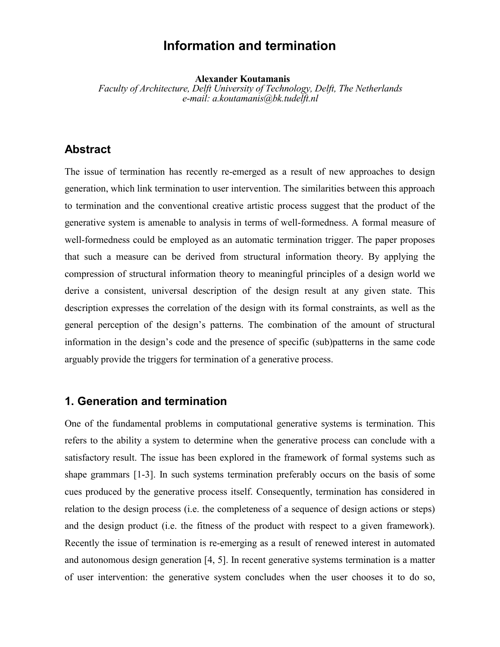# **Information and termination**

**Alexander Koutamanis**

*Faculty of Architecture, Delft University of Technology, Delft, The Netherlands e-mail: a.koutamanis@bk.tudelft.nl*

## **Abstract**

The issue of termination has recently re-emerged as a result of new approaches to design generation, which link termination to user intervention. The similarities between this approach to termination and the conventional creative artistic process suggest that the product of the generative system is amenable to analysis in terms of well-formedness. A formal measure of well-formedness could be employed as an automatic termination trigger. The paper proposes that such a measure can be derived from structural information theory. By applying the compression of structural information theory to meaningful principles of a design world we derive a consistent, universal description of the design result at any given state. This description expresses the correlation of the design with its formal constraints, as well as the general perception of the design's patterns. The combination of the amount of structural information in the design's code and the presence of specific (sub)patterns in the same code arguably provide the triggers for termination of a generative process.

#### **1. Generation and termination**

One of the fundamental problems in computational generative systems is termination. This refers to the ability a system to determine when the generative process can conclude with a satisfactory result. The issue has been explored in the framework of formal systems such as shape grammars [1-3]. In such systems termination preferably occurs on the basis of some cues produced by the generative process itself. Consequently, termination has considered in relation to the design process (i.e. the completeness of a sequence of design actions or steps) and the design product (i.e. the fitness of the product with respect to a given framework). Recently the issue of termination is re-emerging as a result of renewed interest in automated and autonomous design generation [4, 5]. In recent generative systems termination is a matter of user intervention: the generative system concludes when the user chooses it to do so,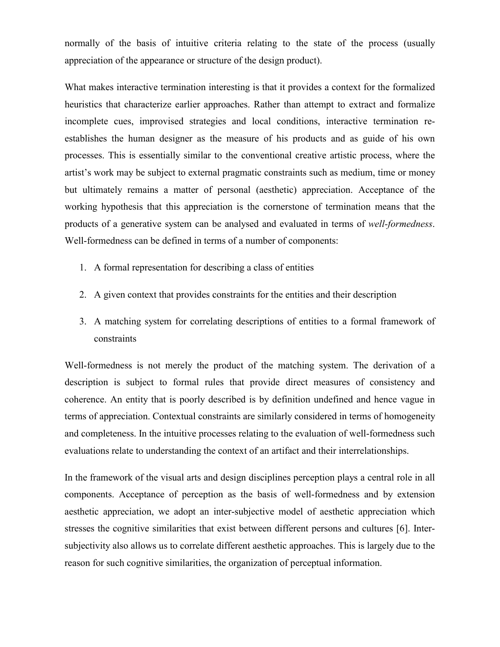normally of the basis of intuitive criteria relating to the state of the process (usually appreciation of the appearance or structure of the design product).

What makes interactive termination interesting is that it provides a context for the formalized heuristics that characterize earlier approaches. Rather than attempt to extract and formalize incomplete cues, improvised strategies and local conditions, interactive termination reestablishes the human designer as the measure of his products and as guide of his own processes. This is essentially similar to the conventional creative artistic process, where the artist's work may be subject to external pragmatic constraints such as medium, time or money but ultimately remains a matter of personal (aesthetic) appreciation. Acceptance of the working hypothesis that this appreciation is the cornerstone of termination means that the products of a generative system can be analysed and evaluated in terms of *well-formedness*. Well-formedness can be defined in terms of a number of components:

- 1. A formal representation for describing a class of entities
- 2. A given context that provides constraints for the entities and their description
- 3. A matching system for correlating descriptions of entities to a formal framework of constraints

Well-formedness is not merely the product of the matching system. The derivation of a description is subject to formal rules that provide direct measures of consistency and coherence. An entity that is poorly described is by definition undefined and hence vague in terms of appreciation. Contextual constraints are similarly considered in terms of homogeneity and completeness. In the intuitive processes relating to the evaluation of well-formedness such evaluations relate to understanding the context of an artifact and their interrelationships.

In the framework of the visual arts and design disciplines perception plays a central role in all components. Acceptance of perception as the basis of well-formedness and by extension aesthetic appreciation, we adopt an inter-subjective model of aesthetic appreciation which stresses the cognitive similarities that exist between different persons and cultures [6]. Intersubjectivity also allows us to correlate different aesthetic approaches. This is largely due to the reason for such cognitive similarities, the organization of perceptual information.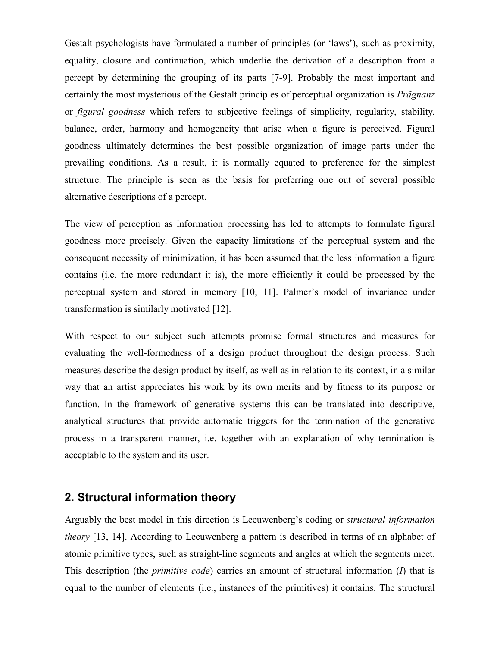Gestalt psychologists have formulated a number of principles (or 'laws'), such as proximity, equality, closure and continuation, which underlie the derivation of a description from a percept by determining the grouping of its parts [7-9]. Probably the most important and certainly the most mysterious of the Gestalt principles of perceptual organization is *Prägnanz* or *figural goodness* which refers to subjective feelings of simplicity, regularity, stability, balance, order, harmony and homogeneity that arise when a figure is perceived. Figural goodness ultimately determines the best possible organization of image parts under the prevailing conditions. As a result, it is normally equated to preference for the simplest structure. The principle is seen as the basis for preferring one out of several possible alternative descriptions of a percept.

The view of perception as information processing has led to attempts to formulate figural goodness more precisely. Given the capacity limitations of the perceptual system and the consequent necessity of minimization, it has been assumed that the less information a figure contains (i.e. the more redundant it is), the more efficiently it could be processed by the perceptual system and stored in memory [10, 11]. Palmer's model of invariance under transformation is similarly motivated [12].

With respect to our subject such attempts promise formal structures and measures for evaluating the well-formedness of a design product throughout the design process. Such measures describe the design product by itself, as well as in relation to its context, in a similar way that an artist appreciates his work by its own merits and by fitness to its purpose or function. In the framework of generative systems this can be translated into descriptive, analytical structures that provide automatic triggers for the termination of the generative process in a transparent manner, i.e. together with an explanation of why termination is acceptable to the system and its user.

## **2. Structural information theory**

Arguably the best model in this direction is Leeuwenberg's coding or *structural information theory* [13, 14]. According to Leeuwenberg a pattern is described in terms of an alphabet of atomic primitive types, such as straight-line segments and angles at which the segments meet. This description (the *primitive code*) carries an amount of structural information (*I*) that is equal to the number of elements (i.e., instances of the primitives) it contains. The structural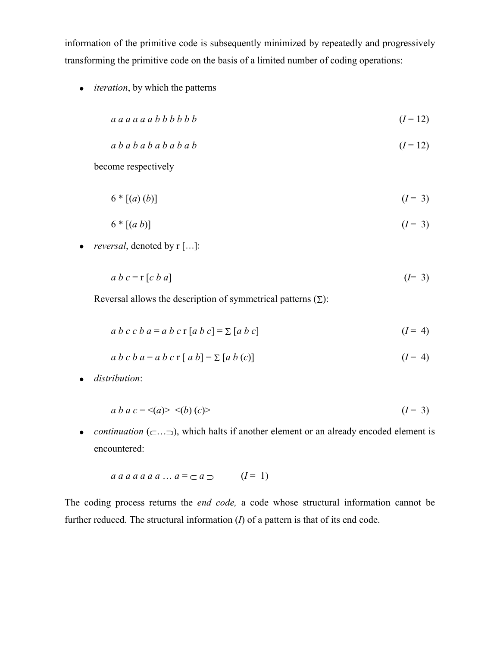information of the primitive code is subsequently minimized by repeatedly and progressively transforming the primitive code on the basis of a limited number of coding operations:

*iteration*, by which the patterns

$$
a \, a \, a \, a \, a \, b \, b \, b \, b \, b \, b \tag{I=12}
$$

$$
a b a b a b a b a b
$$
\n
$$
(I = 12)
$$

become respectively

 $6 * [(a)(b)]$  (*I* = 3)

$$
6 * [(a b)] \tag{I = 3}
$$

*reversal*, denoted by r […]:

$$
a \ b \ c = r \ [c \ b \ a] \tag{I=3}
$$

Reversal allows the description of symmetrical patterns  $( \Sigma )$ :

$$
a\ b\ c\ c\ b\ a = a\ b\ c\ r\ [a\ b\ c] = \sum [a\ b\ c]
$$
 (I = 4)

$$
a b c b a = a b c r [a b] = \sum [a b (c)] \qquad (I = 4)
$$

*distribution*:

$$
a b a c = \langle a \rangle \langle b \rangle \langle c \rangle \tag{I = 3}
$$

• *continuation*  $(\subset \ldots \supset)$ , which halts if another element or an already encoded element is encountered:

$$
a \, a \, a \, a \, a \, a \, a \ldots \, a = \, \subset a \, \supset \qquad (I = 1)
$$

The coding process returns the *end code,* a code whose structural information cannot be further reduced. The structural information (*I*) of a pattern is that of its end code.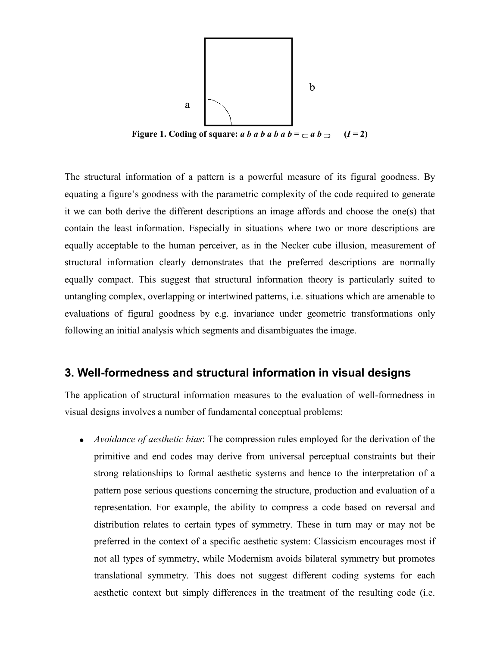

**Figure 1.** Coding of square: *a b a b a b a b* =  $\subset$  *a b*  $\supset$  $(I=2)$ 

The structural information of a pattern is a powerful measure of its figural goodness. By equating a figure's goodness with the parametric complexity of the code required to generate it we can both derive the different descriptions an image affords and choose the one(s) that contain the least information. Especially in situations where two or more descriptions are equally acceptable to the human perceiver, as in the Necker cube illusion, measurement of structural information clearly demonstrates that the preferred descriptions are normally equally compact. This suggest that structural information theory is particularly suited to untangling complex, overlapping or intertwined patterns, i.e. situations which are amenable to evaluations of figural goodness by e.g. invariance under geometric transformations only following an initial analysis which segments and disambiguates the image.

## **3. Well-formedness and structural information in visual designs**

The application of structural information measures to the evaluation of well-formedness in visual designs involves a number of fundamental conceptual problems:

 *Avoidance of aesthetic bias*: The compression rules employed for the derivation of the primitive and end codes may derive from universal perceptual constraints but their strong relationships to formal aesthetic systems and hence to the interpretation of a pattern pose serious questions concerning the structure, production and evaluation of a representation. For example, the ability to compress a code based on reversal and distribution relates to certain types of symmetry. These in turn may or may not be preferred in the context of a specific aesthetic system: Classicism encourages most if not all types of symmetry, while Modernism avoids bilateral symmetry but promotes translational symmetry. This does not suggest different coding systems for each aesthetic context but simply differences in the treatment of the resulting code (i.e.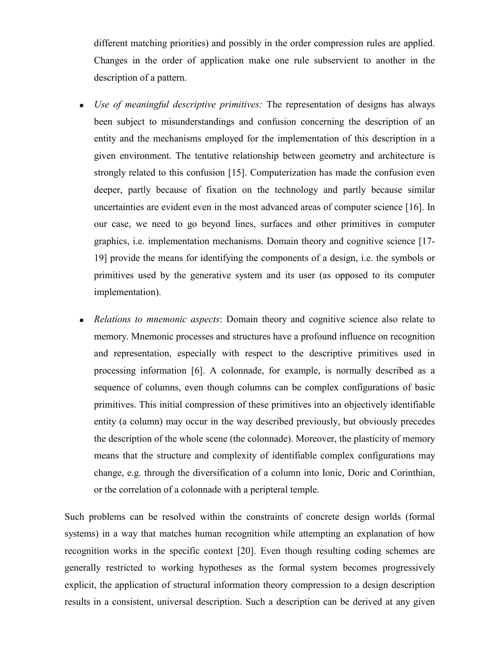different matching priorities) and possibly in the order compression rules are applied. Changes in the order of application make one rule subservient to another in the description of a pattern.

- *Use of meaningful descriptive primitives:* The representation of designs has always been subject to misunderstandings and confusion concerning the description of an entity and the mechanisms employed for the implementation of this description in a given environment. The tentative relationship between geometry and architecture is strongly related to this confusion [15]. Computerization has made the confusion even deeper, partly because of fixation on the technology and partly because similar uncertainties are evident even in the most advanced areas of computer science [16]. In our case, we need to go beyond lines, surfaces and other primitives in computer graphics, i.e. implementation mechanisms. Domain theory and cognitive science [17- 19] provide the means for identifying the components of a design, i.e. the symbols or primitives used by the generative system and its user (as opposed to its computer implementation).
- *Relations to mnemonic aspects*: Domain theory and cognitive science also relate to memory. Mnemonic processes and structures have a profound influence on recognition and representation, especially with respect to the descriptive primitives used in processing information [6]. A colonnade, for example, is normally described as a sequence of columns, even though columns can be complex configurations of basic primitives. This initial compression of these primitives into an objectively identifiable entity (a column) may occur in the way described previously, but obviously precedes the description of the whole scene (the colonnade). Moreover, the plasticity of memory means that the structure and complexity of identifiable complex configurations may change, e.g. through the diversification of a column into Ionic, Doric and Corinthian, or the correlation of a colonnade with a peripteral temple.

Such problems can be resolved within the constraints of concrete design worlds (formal systems) in a way that matches human recognition while attempting an explanation of how recognition works in the specific context [20]. Even though resulting coding schemes are generally restricted to working hypotheses as the formal system becomes progressively explicit, the application of structural information theory compression to a design description results in a consistent, universal description. Such a description can be derived at any given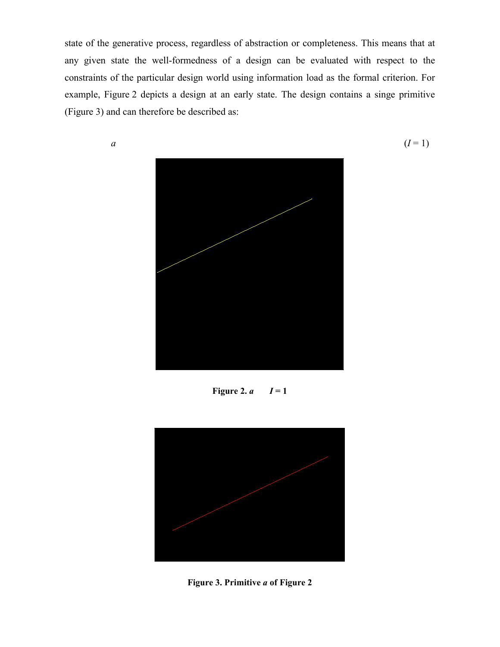state of the generative process, regardless of abstraction or completeness. This means that at any given state the well-formedness of a design can be evaluated with respect to the constraints of the particular design world using information load as the formal criterion. For example, Figure 2 depicts a design at an early state. The design contains a singe primitive (Figure 3) and can therefore be described as:



Figure 2.  $a \quad I=1$ 



**Figure 3. Primitive** *a* **of Figure 2**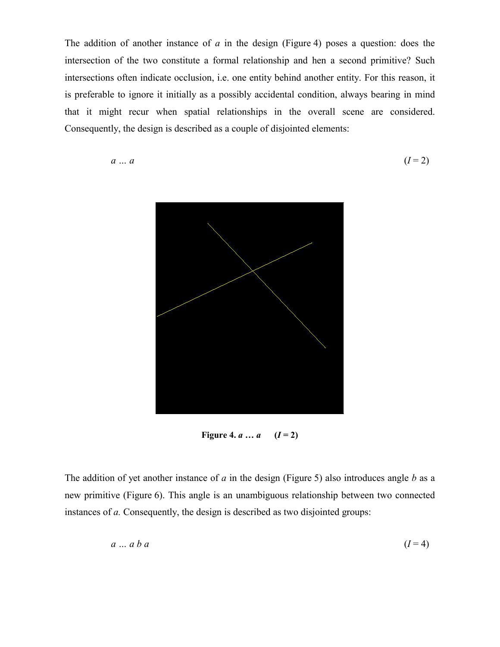The addition of another instance of *a* in the design (Figure 4) poses a question: does the intersection of the two constitute a formal relationship and hen a second primitive? Such intersections often indicate occlusion, i.e. one entity behind another entity. For this reason, it is preferable to ignore it initially as a possibly accidental condition, always bearing in mind that it might recur when spatial relationships in the overall scene are considered. Consequently, the design is described as a couple of disjointed elements:

$$
a \dots a \tag{I=2}
$$



**Figure 4.** *a*  $\ldots$  *a*  $(I = 2)$ 

The addition of yet another instance of *a* in the design (Figure 5) also introduces angle *b* as a new primitive (Figure 6). This angle is an unambiguous relationship between two connected instances of *a.* Consequently, the design is described as two disjointed groups:

$$
a \dots a \ b \ a \tag{I=4}
$$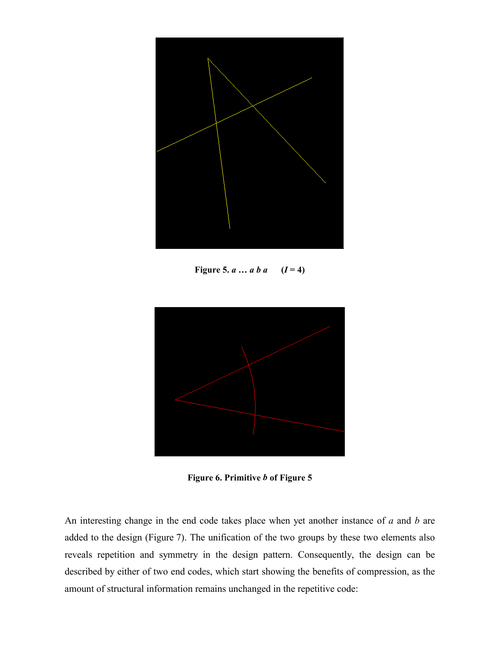

**Figure 5.**  $a \, ... \, a \, b \, a \quad (I = 4)$ 



**Figure 6. Primitive** *b* **of Figure 5**

An interesting change in the end code takes place when yet another instance of *a* and *b* are added to the design (Figure 7). The unification of the two groups by these two elements also reveals repetition and symmetry in the design pattern. Consequently, the design can be described by either of two end codes, which start showing the benefits of compression, as the amount of structural information remains unchanged in the repetitive code: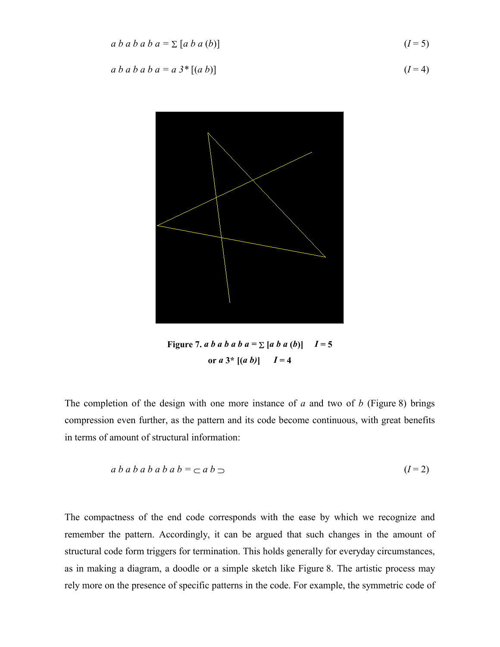$$
a b a b a b a = \sum [a b a (b)] \qquad (I = 5)
$$

$$
a b a b a b a = a 3^* [(a b)] \tag{I=4}
$$



**Figure 7.** *a b a b a b a b*  $a = \sum [a \ b \ a \ (b)]$   $I = 5$ **or**  $a \ 3^*$   $[(a \ b)] \ I = 4$ 

The completion of the design with one more instance of *a* and two of *b* (Figure 8) brings compression even further, as the pattern and its code become continuous, with great benefits in terms of amount of structural information:

$$
a b a b a b a b b = \sub a b \sub
$$
\n
$$
(I=2)
$$

The compactness of the end code corresponds with the ease by which we recognize and remember the pattern. Accordingly, it can be argued that such changes in the amount of structural code form triggers for termination. This holds generally for everyday circumstances, as in making a diagram, a doodle or a simple sketch like Figure 8. The artistic process may rely more on the presence of specific patterns in the code. For example, the symmetric code of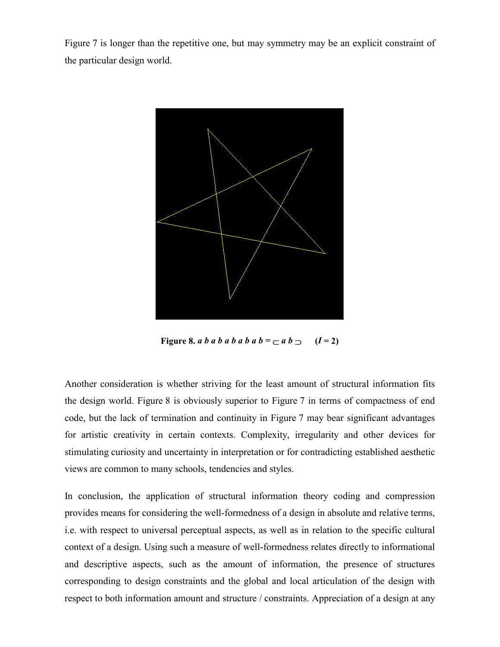Figure 7 is longer than the repetitive one, but may symmetry may be an explicit constraint of the particular design world.



Figure 8. *a b a b a b a b a b*  $a$  *b* =  $\subset$  *a b*  $\supset$  (*I* = 2)

Another consideration is whether striving for the least amount of structural information fits the design world. Figure 8 is obviously superior to Figure 7 in terms of compactness of end code, but the lack of termination and continuity in Figure 7 may bear significant advantages for artistic creativity in certain contexts. Complexity, irregularity and other devices for stimulating curiosity and uncertainty in interpretation or for contradicting established aesthetic views are common to many schools, tendencies and styles.

In conclusion, the application of structural information theory coding and compression provides means for considering the well-formedness of a design in absolute and relative terms, i.e. with respect to universal perceptual aspects, as well as in relation to the specific cultural context of a design. Using such a measure of well-formedness relates directly to informational and descriptive aspects, such as the amount of information, the presence of structures corresponding to design constraints and the global and local articulation of the design with respect to both information amount and structure / constraints. Appreciation of a design at any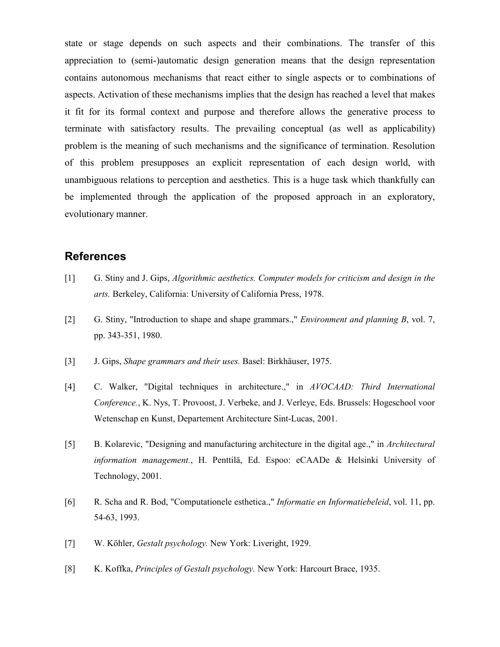state or stage depends on such aspects and their combinations. The transfer of this appreciation to (semi-)automatic design generation means that the design representation contains autonomous mechanisms that react either to single aspects or to combinations of aspects. Activation of these mechanisms implies that the design has reached a level that makes it fit for its formal context and purpose and therefore allows the generative process to terminate with satisfactory results. The prevailing conceptual (as well as applicability) problem is the meaning of such mechanisms and the significance of termination. Resolution of this problem presupposes an explicit representation of each design world, with unambiguous relations to perception and aesthetics. This is a huge task which thankfully can be implemented through the application of the proposed approach in an exploratory, evolutionary manner.

#### **References**

- [1] G. Stiny and J. Gips, *Algorithmic aesthetics. Computer models for criticism and design in the arts.* Berkeley, California: University of California Press, 1978.
- [2] G. Stiny, "Introduction to shape and shape grammars.," *Environment and planning B*, vol. 7, pp. 343-351, 1980.
- [3] J. Gips, *Shape grammars and their uses.* Basel: Birkhäuser, 1975.
- [4] C. Walker, "Digital techniques in architecture.," in *AVOCAAD: Third International Conference.*, K. Nys, T. Provoost, J. Verbeke, and J. Verleye, Eds. Brussels: Hogeschool voor Wetenschap en Kunst, Departement Architecture Sint-Lucas, 2001.
- [5] B. Kolarevic, "Designing and manufacturing architecture in the digital age.," in *Architectural information management.*, H. Penttilä, Ed. Espoo: eCAADe & Helsinki University of Technology, 2001.
- [6] R. Scha and R. Bod, "Computationele esthetica.," *Informatie en Informatiebeleid*, vol. 11, pp. 54-63, 1993.
- [7] W. Köhler, *Gestalt psychology.* New York: Liveright, 1929.
- [8] K. Koffka, *Principles of Gestalt psychology.* New York: Harcourt Brace, 1935.